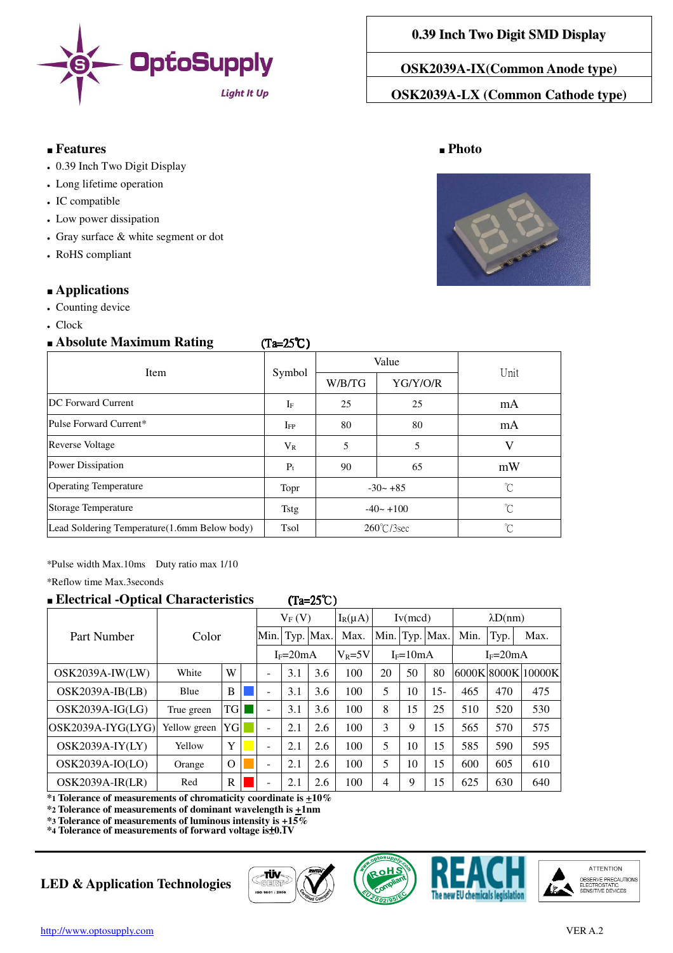

## ■ **Features** ■ **Photo**

- 0.39 Inch Two Digit Display
- Long lifetime operation
- IC compatible
- Low power dissipation
- $\cdot$  Gray surface  $\&$  white segment or dot
- RoHS compliant

## ■ **Applications**

- Counting device
- Clock

## ■ **Absolute Maximum Rating** (Ta=25℃ (Ta=25℃)

| Item                                          | Symbol       | Value                |          |        |
|-----------------------------------------------|--------------|----------------------|----------|--------|
|                                               |              | W/B/TG               | YG/Y/O/R | Unit   |
| <b>DC</b> Forward Current                     | $I_F$        | 25                   | 25       | mA     |
| Pulse Forward Current*                        | $_{\rm IFP}$ | 80                   | 80       | mA     |
| <b>Reverse Voltage</b>                        | $V_{R}$      | 5                    | 5        |        |
| Power Dissipation                             | $P_t$        | 90                   | 65       | mW     |
| <b>Operating Temperature</b>                  | Topr         | $-30 - +85$          |          | °C     |
| Storage Temperature                           | Tstg         | $-40 - +100$         |          | °C     |
| Lead Soldering Temperature (1.6mm Below body) | Tsol         | $260^{\circ}$ C/3sec |          | $\sim$ |

\*Pulse width Max.10ms Duty ratio max 1/10

\*Reflow time Max.3seconds

## ■ **Electrical -Optical Characteristics** (Ta=25℃ (Ta=25℃)

# Part Number | Color  $V_F (V)$   $|I_R(\mu A)|$  Iv(mcd)  $\lambda D(nm)$ Min. Typ. Max. Max. Min. Typ. Max. Min. Typ. Max.  $I_F=20mA$   $V_R=5V$   $I_F=10mA$   $I_F=20mA$ OSK2039A-IW(LW) white W - 3.1 3.6 100 20 50 80 6000K 8000K 10000K OSK2039A-IB(LB) Blue B  $\parallel$  B  $\parallel$  - 3.1 3.6 100 5 10 15- 465 470 475 OSK2039A-IG(LG) True green  $|TG|| = |3.1 |3.6 | 100 | 8 | 15 | 25 | 510 | 520 | 530$ OSK2039A-IYG(LYG) Yellow green YG ■ - 2.1 2.6 | 100 | 3 | 9 | 15 | 565 | 570 | 575 OSK2039A-IY(LY) Yellow  $Y = 2.1 + 2.6 + 100 + 5 + 10 + 15 + 585 + 590 + 595$ OSK2039A-IO(LO)  $\vert$  Orange  $\vert$  O  $\vert$  - 2.1 2.6 100 5 10 15 600 605 610 OSK2039A-IR(LR) Red  $|R| = |2.1 | 2.6 | 100 | 4 | 9 | 15 | 625 | 630 | 640$

**\*1 Tolerance of measurements of chromaticity coordinate is +10%**

**\*2 Tolerance of measurements of dominant wavelength is +1nm**

**\*3 Tolerance of measurements of luminous intensity is +15% \*4 Tolerance of measurements of forward voltage is**±**0.1V**

# **LED & Application Technologies**









# **0.39 Inch Two Digit SMD Display**

**OSK2039A-IX(Common Anode type)** 

**OSK2039A-LX (Common Cathode type)** 

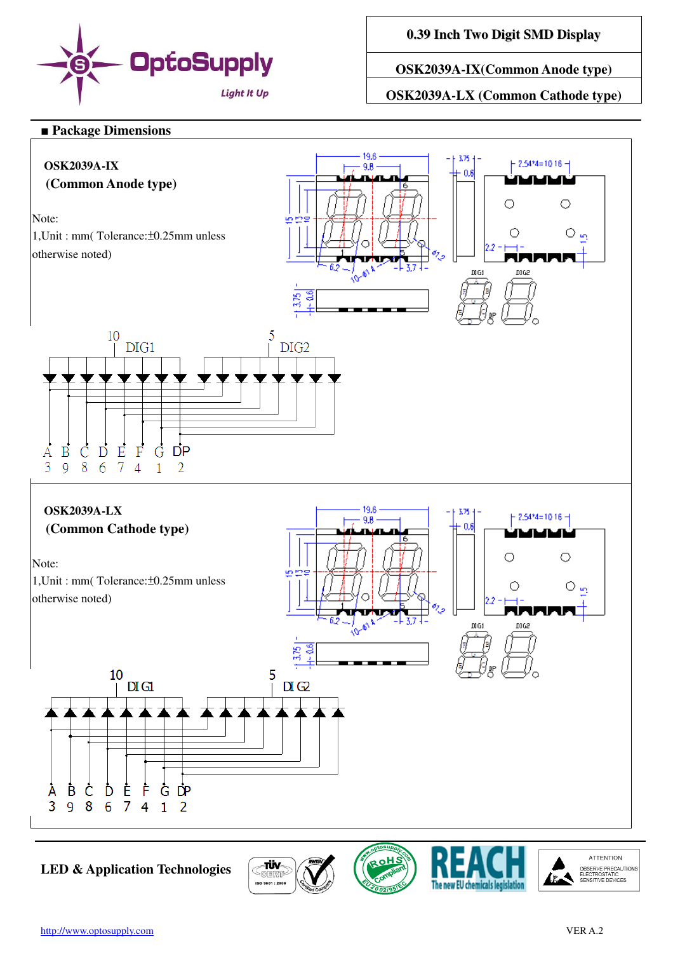

**0.39 Inch Two Digit SMD Display**

**OSK2039A-IX(Common Anode type)** 

**OSK2039A-LX (Common Cathode type)** 

### ■ **Package Dimensions**



**LED & Application Technologies**



**ATTENTION** 

OBSERVE PRECAUTIONS<br>ELECTROSTATIC<br>SENSITIVE DEVICES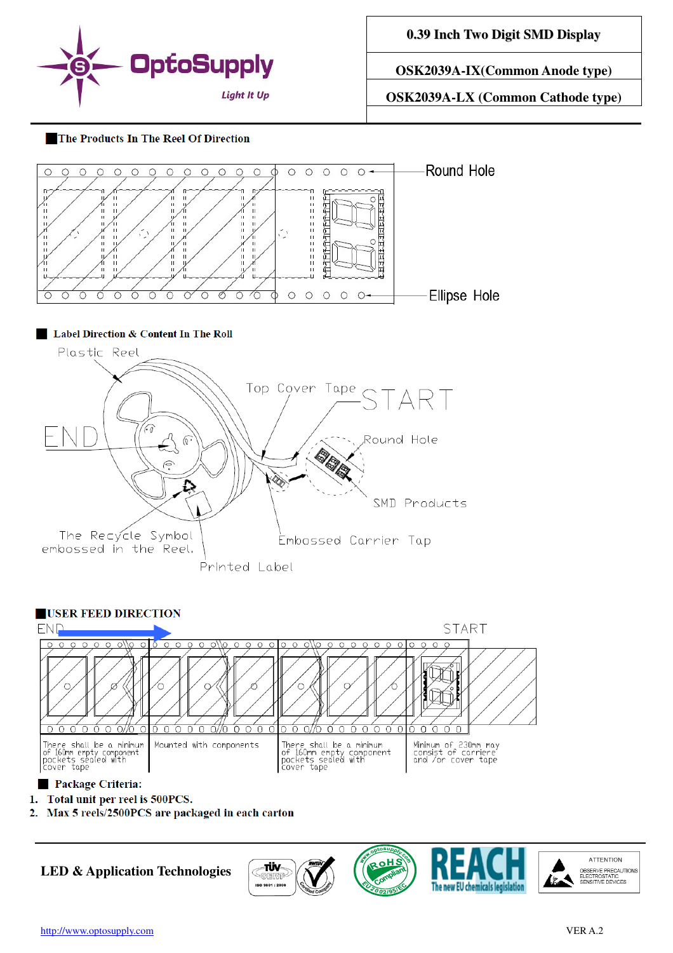

**0.39 Inch Two Digit SMD Display**

**OSK2039A-IX(Common Anode type)** 

**OSK2039A-LX (Common Cathode type)** 

#### The Products In The Reel Of Direction





- 1. Total unit per reel is 500PCS.
- Max 5 reels/2500PCS are packaged in each carton  $2.$

**LED & Application Technologies**